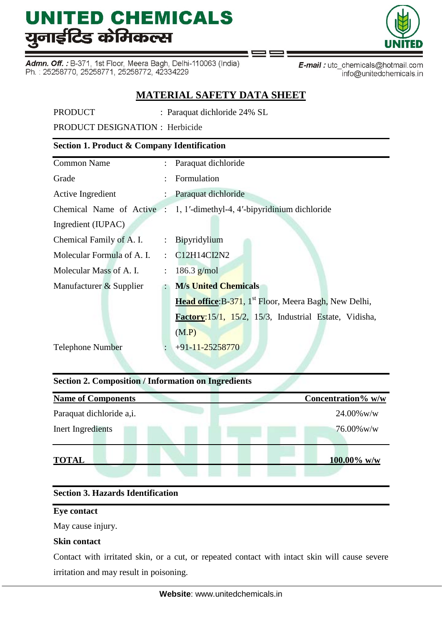Admn. Off.: B-371, 1st Floor, Meera Bagh, Delhi-110063 (India) Ph.: 25258770, 25258771, 25258772, 42334229



E-mail: utc\_chemicals@hotmail.com info@unitedchemicals.in

# **MATERIAL SAFETY DATA SHEET**

PRODUCT : Paraquat dichloride 24% SL

PRODUCT DESIGNATION : Herbicide

# **Section 1. Product & Company Identification**

|                      | : Paraquat dichloride                                                  |
|----------------------|------------------------------------------------------------------------|
|                      | Formulation                                                            |
|                      | : Paraquat dichloride                                                  |
|                      | Chemical Name of Active : 1, 1'-dimethyl-4, 4'-bipyridinium dichloride |
|                      |                                                                        |
|                      | : Bipyridylium                                                         |
| $\ddot{\cdot}$       | C12H14CI2N2                                                            |
| $\ddot{\phantom{a}}$ | 186.3 $g/mol$                                                          |
|                      | <b>M/s United Chemicals</b>                                            |
|                      | Head office: B-371, 1 <sup>st</sup> Floor, Meera Bagh, New Delhi,      |
|                      | Factory:15/1, 15/2, 15/3, Industrial Estate, Vidisha,                  |
|                      | (M.P)                                                                  |
|                      | $+91-11-25258770$                                                      |
|                      |                                                                        |

# **Section 2. Composition / Information on Ingredients**

| <b>Name of Components</b> |  | Concentration% w/w |
|---------------------------|--|--------------------|
| Paraquat dichloride a,i.  |  | $24.00\%$ w/w      |
| Inert Ingredients         |  | $76.00\%$ w/w      |
| <b>TOTAL</b>              |  | $100.00\%$ w/w     |

# **Section 3. Hazards Identification**

#### **Eye contact**

May cause injury.

# **Skin contact**

Contact with irritated skin, or a cut, or repeated contact with intact skin will cause severe irritation and may result in poisoning.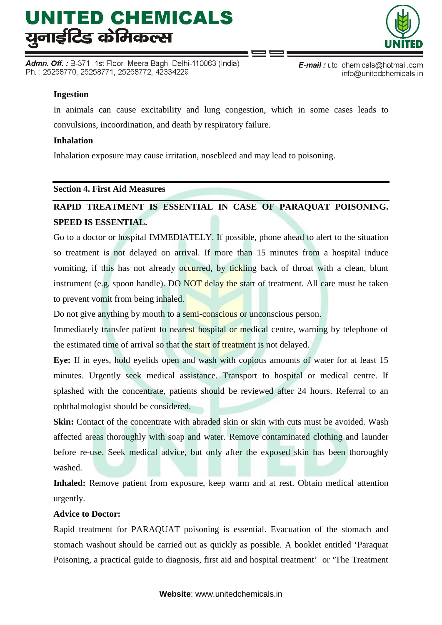Admn. Off. : B-371, 1st Floor, Meera Bagh, Delhi-110063 (India) Ph.: 25258770, 25258771, 25258772, 42334229



E-mail: utc\_chemicals@hotmail.com info@unitedchemicals.in

# **Ingestion**

In animals can cause excitability and lung congestion, which in some cases leads to convulsions, incoordination, and death by respiratory failure.

#### **Inhalation**

Inhalation exposure may cause irritation, nosebleed and may lead to poisoning.

#### **Section 4. First Aid Measures**

# **RAPID TREATMENT IS ESSENTIAL IN CASE OF PARAQUAT POISONING. SPEED IS ESSENTIAL.**

Go to a doctor or hospital IMMEDIATELY. If possible, phone ahead to alert to the situation so treatment is not delayed on arrival. If more than 15 minutes from a hospital induce vomiting, if this has not already occurred, by tickling back of throat with a clean, blunt instrument (e.g. spoon handle). DO NOT delay the start of treatment. All care must be taken to prevent vomit from being inhaled.

Do not give anything by mouth to a semi-conscious or unconscious person.

Immediately transfer patient to nearest hospital or medical centre, warning by telephone of the estimated time of arrival so that the start of treatment is not delayed.

**Eye:** If in eyes, hold eyelids open and wash with copious amounts of water for at least 15 minutes. Urgently seek medical assistance. Transport to hospital or medical centre. If splashed with the concentrate, patients should be reviewed after 24 hours. Referral to an ophthalmologist should be considered.

**Skin:** Contact of the concentrate with abraded skin or skin with cuts must be avoided. Wash affected areas thoroughly with soap and water. Remove contaminated clothing and launder before re-use. Seek medical advice, but only after the exposed skin has been thoroughly washed.

**Inhaled:** Remove patient from exposure, keep warm and at rest. Obtain medical attention urgently.

# **Advice to Doctor:**

Rapid treatment for PARAQUAT poisoning is essential. Evacuation of the stomach and stomach washout should be carried out as quickly as possible. A booklet entitled 'Paraquat Poisoning, a practical guide to diagnosis, first aid and hospital treatment' or 'The Treatment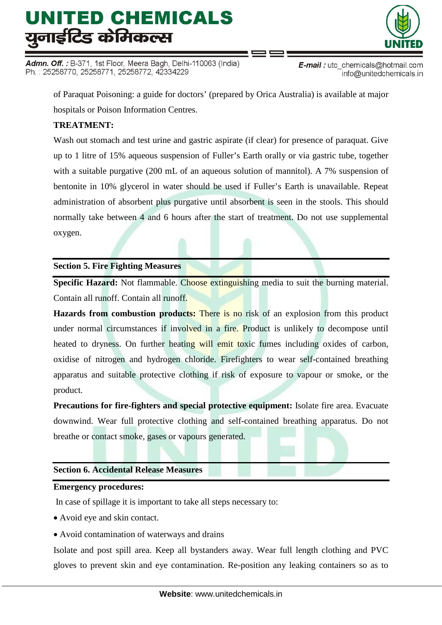Admn. Off. : B-371, 1st Floor, Meera Bagh, Delhi-110063 (India) Ph.: 25258770, 25258771, 25258772, 42334229



E-mail: utc\_chemicals@hotmail.com info@unitedchemicals.in

of Paraquat Poisoning: a guide for doctors' (prepared by Orica Australia) is available at major hospitals or Poison Information Centres.

# **TREATMENT:**

Wash out stomach and test urine and gastric aspirate (if clear) for presence of paraquat. Give up to 1 litre of 15% aqueous suspension of Fuller's Earth orally or via gastric tube, together with a suitable purgative (200 mL of an aqueous solution of mannitol). A 7% suspension of bentonite in 10% glycerol in water should be used if Fuller's Earth is unavailable. Repeat administration of absorbent plus purgative until absorbent is seen in the stools. This should normally take between 4 and 6 hours after the start of treatment. Do not use supplemental oxygen.

# **Section 5. Fire Fighting Measures**

**Specific Hazard:** Not flammable. Choose extinguishing media to suit the burning material. Contain all runoff. Contain all runoff.

**Hazards from combustion products:** There is no risk of an explosion from this product under normal circumstances if involved in a fire. Product is unlikely to decompose until heated to dryness. On further heating will emit toxic fumes including oxides of carbon, oxidise of nitrogen and hydrogen chloride. Firefighters to wear self-contained breathing apparatus and suitable protective clothing if risk of exposure to vapour or smoke, or the product.

**Precautions for fire-fighters and special protective equipment:** Isolate fire area. Evacuate downwind. Wear full protective clothing and self-contained breathing apparatus. Do not breathe or contact smoke, gases or vapours generated.

# **Section 6. Accidental Release Measures**

#### **Emergency procedures:**

In case of spillage it is important to take all steps necessary to:

- Avoid eye and skin contact.
- Avoid contamination of waterways and drains

Isolate and post spill area. Keep all bystanders away. Wear full length clothing and PVC gloves to prevent skin and eye contamination. Re-position any leaking containers so as to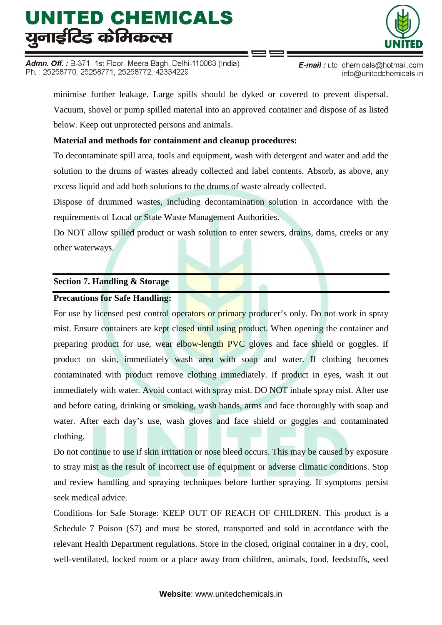Admn. Off. : B-371, 1st Floor, Meera Bagh, Delhi-110063 (India) Ph.: 25258770, 25258771, 25258772, 42334229



**E-mail**: utc chemicals@hotmail.com info@unitedchemicals.in

minimise further leakage. Large spills should be dyked or covered to prevent dispersal. Vacuum, shovel or pump spilled material into an approved container and dispose of as listed below. Keep out unprotected persons and animals.

# **Material and methods for containment and cleanup procedures:**

To decontaminate spill area, tools and equipment, wash with detergent and water and add the solution to the drums of wastes already collected and label contents. Absorb, as above, any excess liquid and add both solutions to the drums of waste already collected.

Dispose of drummed wastes, including decontamination solution in accordance with the requirements of Local or State Waste Management Authorities.

Do NOT allow spilled product or wash solution to enter sewers, drains, dams, creeks or any other waterways.

# **Section 7. Handling & Storage**

# **Precautions for Safe Handling:**

For use by licensed pest control operators or primary producer's only. Do not work in spray mist. Ensure containers are kept closed until using product. When opening the container and preparing product for use, wear elbow-length PVC gloves and face shield or goggles. If product on skin, immediately wash area with soap and water. If clothing becomes contaminated with product remove clothing immediately. If product in eyes, wash it out immediately with water. Avoid contact with spray mist. DO NOT inhale spray mist. After use and before eating, drinking or smoking, wash hands, arms and face thoroughly with soap and water. After each day's use, wash gloves and face shield or goggles and contaminated clothing.

Do not continue to use if skin irritation or nose bleed occurs. This may be caused by exposure to stray mist as the result of incorrect use of equipment or adverse climatic conditions. Stop and review handling and spraying techniques before further spraying. If symptoms persist seek medical advice.

Conditions for Safe Storage: KEEP OUT OF REACH OF CHILDREN. This product is a Schedule 7 Poison (S7) and must be stored, transported and sold in accordance with the relevant Health Department regulations. Store in the closed, original container in a dry, cool, well-ventilated, locked room or a place away from children, animals, food, feedstuffs, seed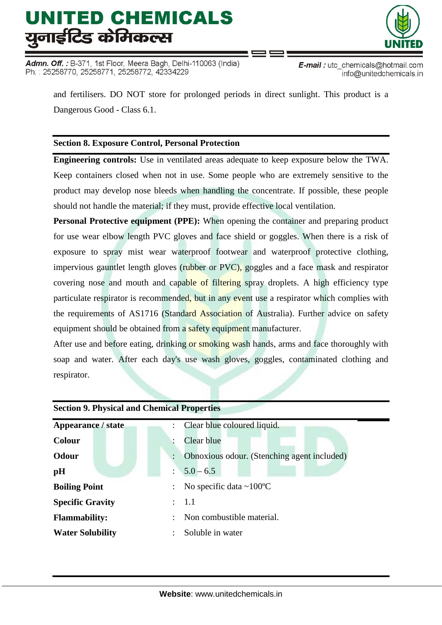Admn. Off. : B-371, 1st Floor, Meera Bagh, Delhi-110063 (India) Ph.: 25258770, 25258771, 25258772, 42334229



E-mail: utc chemicals@hotmail.com info@unitedchemicals.in

and fertilisers. DO NOT store for prolonged periods in direct sunlight. This product is a Dangerous Good - Class 6.1.

# **Section 8. Exposure Control, Personal Protection**

**Engineering controls:** Use in ventilated areas adequate to keep exposure below the TWA. Keep containers closed when not in use. Some people who are extremely sensitive to the product may develop nose bleeds when handling the concentrate. If possible, these people should not handle the material; if they must, provide effective local ventilation.

**Personal Protective equipment (PPE):** When opening the container and preparing product for use wear elbow length PVC gloves and face shield or goggles. When there is a risk of exposure to spray mist wear waterproof footwear and waterproof protective clothing, impervious gauntlet length gloves (rubber or PVC), goggles and a face mask and respirator covering nose and mouth and capable of filtering spray droplets. A high efficiency type particulate respirator is recommended, but in any event use a respirator which complies with the requirements of AS1716 (Standard Association of Australia). Further advice on safety equipment should be obtained from a safety equipment manufacturer.

After use and before eating, drinking or smoking wash hands, arms and face thoroughly with soap and water. After each day's use wash gloves, goggles, contaminated clothing and respirator.

| <b>Section 9. Physical and Chemical Properties</b> |  |                                             |  |  |  |  |
|----------------------------------------------------|--|---------------------------------------------|--|--|--|--|
| <b>Appearance / state</b>                          |  | Clear blue coloured liquid.                 |  |  |  |  |
| Colour                                             |  | Clear blue                                  |  |  |  |  |
| <b>Odour</b>                                       |  | Obnoxious odour. (Stenching agent included) |  |  |  |  |
| pH                                                 |  | $5.0 - 6.5$                                 |  |  |  |  |
| <b>Boiling Point</b>                               |  | No specific data $\sim 100^{\circ}$ C       |  |  |  |  |
| <b>Specific Gravity</b>                            |  | $\therefore$ 1.1                            |  |  |  |  |
| <b>Flammability:</b>                               |  | Non combustible material.                   |  |  |  |  |
| <b>Water Solubility</b>                            |  | Soluble in water                            |  |  |  |  |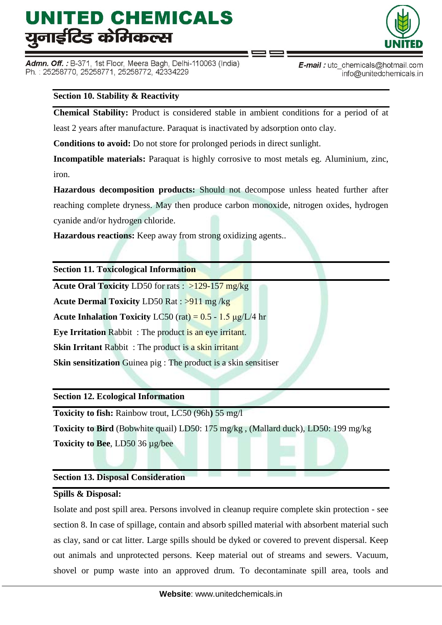Admn. Off. : B-371, 1st Floor, Meera Bagh, Delhi-110063 (India) Ph.: 25258770, 25258771, 25258772, 42334229



**E-mail**: utc chemicals@hotmail.com info@unitedchemicals.in

# **Section 10. Stability & Reactivity**

**Chemical Stability:** Product is considered stable in ambient conditions for a period of at

least 2 years after manufacture. Paraquat is inactivated by adsorption onto clay.

**Conditions to avoid:** Do not store for prolonged periods in direct sunlight.

**Incompatible materials:** Paraquat is highly corrosive to most metals eg. Aluminium, zinc, iron.

**Hazardous decomposition products:** Should not decompose unless heated further after reaching complete dryness. May then produce carbon monoxide, nitrogen oxides, hydrogen cyanide and/or hydrogen chloride.

**Hazardous reactions:** Keep away from strong oxidizing agents..

#### **Section 11. Toxicological Information**

**Acute Oral Toxicity** LD50 for rats : >129-157 mg/kg

**Acute Dermal Toxicity** LD50 Rat : >911 mg /kg

**Acute Inhalation Toxicity**  $LC50$  (rat) =  $0.5 - 1.5$   $\mu$ g/ $L/4$  hr

**Eye Irritation** Rabbit : The product is an eye irritant.

**Skin Irritant** Rabbit : The product is a skin irritant

**Skin sensitization** Guinea pig : The product is a skin sensitiser

**Section 12. Ecological Information**

**Toxicity to fish:** Rainbow trout, LC50 (96h**)** 55 mg/l

**Toxicity to Bird** (Bobwhite quail) LD50: 175 mg/kg , (Mallard duck), LD50: 199 mg/kg

**Toxicity to Bee**, LD50 36 µg/bee

# **Section 13. Disposal Consideration**

# **Spills & Disposal:**

Isolate and post spill area. Persons involved in cleanup require complete skin protection - see section 8. In case of spillage, contain and absorb spilled material with absorbent material such as clay, sand or cat litter. Large spills should be dyked or covered to prevent dispersal. Keep out animals and unprotected persons. Keep material out of streams and sewers. Vacuum, shovel or pump waste into an approved drum. To decontaminate spill area, tools and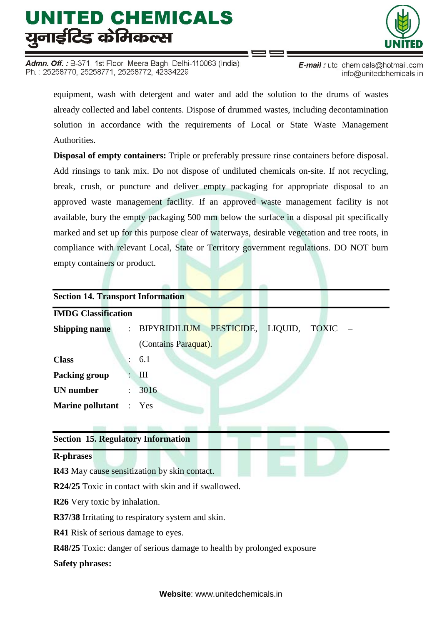Admn. Off. : B-371, 1st Floor, Meera Bagh, Delhi-110063 (India) Ph.: 25258770, 25258771, 25258772, 42334229



E-mail: utc chemicals@hotmail.com info@unitedchemicals.in

equipment, wash with detergent and water and add the solution to the drums of wastes already collected and label contents. Dispose of drummed wastes, including decontamination solution in accordance with the requirements of Local or State Waste Management **Authorities** 

**Disposal of empty containers:** Triple or preferably pressure rinse containers before disposal. Add rinsings to tank mix. Do not dispose of undiluted chemicals on-site. If not recycling, break, crush, or puncture and deliver empty packaging for appropriate disposal to an approved waste management facility. If an approved waste management facility is not available, bury the empty packaging 500 mm below the surface in a disposal pit specifically marked and set up for this purpose clear of waterways, desirable vegetation and tree roots, in compliance with relevant Local, State or Territory government regulations. DO NOT burn empty containers or product.

| <b>Section 14. Transport Information</b>                               |                                                 |  |  |  |  |  |  |
|------------------------------------------------------------------------|-------------------------------------------------|--|--|--|--|--|--|
| <b>IMDG Classification</b>                                             |                                                 |  |  |  |  |  |  |
| <b>Shipping name</b>                                                   | PESTICIDE, LIQUID, TOXIC<br><b>BIPYRIDILIUM</b> |  |  |  |  |  |  |
|                                                                        | (Contains Paraquat).                            |  |  |  |  |  |  |
| <b>Class</b>                                                           | 6.1                                             |  |  |  |  |  |  |
| <b>Packing group</b>                                                   | Ш                                               |  |  |  |  |  |  |
| <b>UN</b> number                                                       | 3016                                            |  |  |  |  |  |  |
| <b>Marine pollutant</b>                                                | Yes                                             |  |  |  |  |  |  |
|                                                                        |                                                 |  |  |  |  |  |  |
| <b>Section 15. Regulatory Information</b>                              |                                                 |  |  |  |  |  |  |
| <b>R-phrases</b>                                                       |                                                 |  |  |  |  |  |  |
| R43 May cause sensitization by skin contact.                           |                                                 |  |  |  |  |  |  |
| <b>R24/25</b> Toxic in contact with skin and if swallowed.             |                                                 |  |  |  |  |  |  |
| <b>R26</b> Very toxic by inhalation.                                   |                                                 |  |  |  |  |  |  |
| R37/38 Irritating to respiratory system and skin.                      |                                                 |  |  |  |  |  |  |
| <b>R41</b> Risk of serious damage to eyes.                             |                                                 |  |  |  |  |  |  |
| R48/25 Toxic: danger of serious damage to health by prolonged exposure |                                                 |  |  |  |  |  |  |
| <b>Safety phrases:</b>                                                 |                                                 |  |  |  |  |  |  |